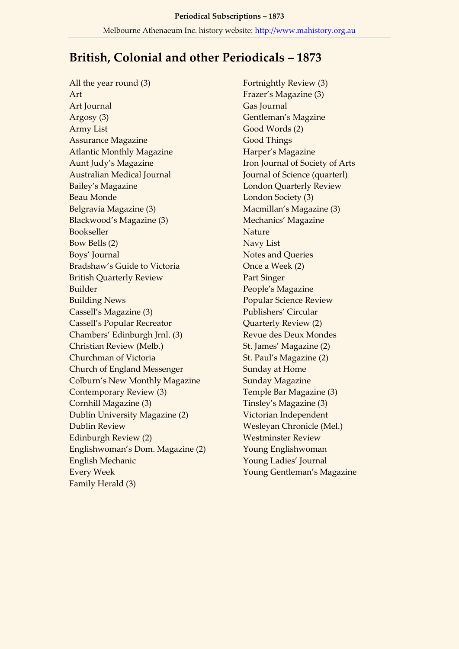## **British, Colonial and other Periodicals – 1873**

All the year round (3) Art Art Journal Argosy (3) Army List Assurance Magazine Atlantic Monthly Magazine Aunt Judy's Magazine Australian Medical Journal Bailey's Magazine Beau Monde Belgravia Magazine (3) Blackwood's Magazine (3) Bookseller Bow Bells (2) Boys' Journal Bradshaw's Guide to Victoria British Quarterly Review Builder Building News Cassell's Magazine (3) Cassell's Popular Recreator Chambers' Edinburgh Jrnl. (3) Christian Review (Melb.) Churchman of Victoria Church of England Messenger Colburn's New Monthly Magazine Contemporary Review (3) Cornhill Magazine (3) Dublin University Magazine (2) Dublin Review Edinburgh Review (2) Englishwoman's Dom. Magazine (2) English Mechanic Every Week Family Herald (3)

Fortnightly Review (3) Frazer's Magazine (3) Gas Journal Gentleman's Magzine Good Words (2) Good Things Harper's Magazine Iron Journal of Society of Arts Journal of Science (quarterl) London Quarterly Review London Society (3) Macmillan's Magazine (3) Mechanics' Magazine Nature Navy List Notes and Queries Once a Week (2) Part Singer People's Magazine Popular Science Review Publishers' Circular Quarterly Review (2) Revue des Deux Mondes St. James' Magazine (2) St. Paul's Magazine (2) Sunday at Home Sunday Magazine Temple Bar Magazine (3) Tinsley's Magazine (3) Victorian Independent Wesleyan Chronicle (Mel.) Westminster Review Young Englishwoman Young Ladies' Journal Young Gentleman's Magazine